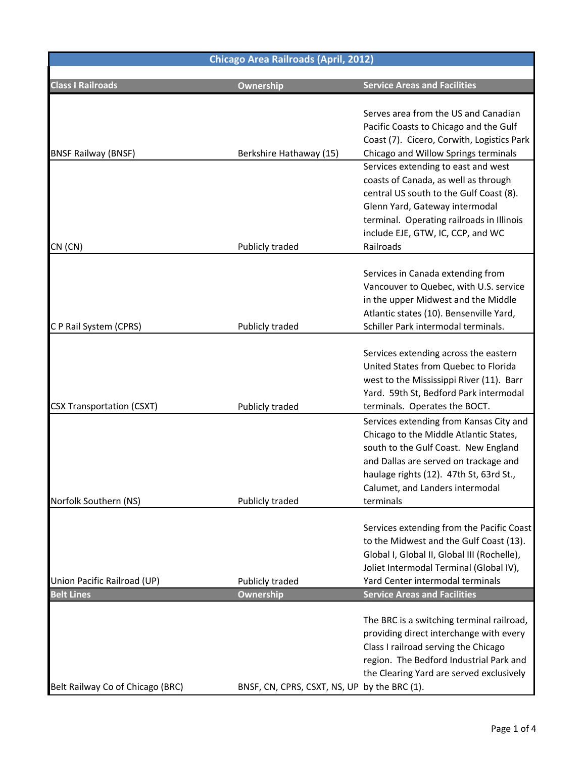| <b>Chicago Area Railroads (April, 2012)</b>      |                                              |                                                                                                                                                                                                                                                               |  |
|--------------------------------------------------|----------------------------------------------|---------------------------------------------------------------------------------------------------------------------------------------------------------------------------------------------------------------------------------------------------------------|--|
| <b>Class I Railroads</b>                         | Ownership                                    | <b>Service Areas and Facilities</b>                                                                                                                                                                                                                           |  |
| <b>BNSF Railway (BNSF)</b>                       | Berkshire Hathaway (15)                      | Serves area from the US and Canadian<br>Pacific Coasts to Chicago and the Gulf<br>Coast (7). Cicero, Corwith, Logistics Park<br>Chicago and Willow Springs terminals                                                                                          |  |
| CN (CN)                                          | Publicly traded                              | Services extending to east and west<br>coasts of Canada, as well as through<br>central US south to the Gulf Coast (8).<br>Glenn Yard, Gateway intermodal<br>terminal. Operating railroads in Illinois<br>include EJE, GTW, IC, CCP, and WC<br>Railroads       |  |
| CP Rail System (CPRS)                            | Publicly traded                              | Services in Canada extending from<br>Vancouver to Quebec, with U.S. service<br>in the upper Midwest and the Middle<br>Atlantic states (10). Bensenville Yard,<br>Schiller Park intermodal terminals.                                                          |  |
| <b>CSX Transportation (CSXT)</b>                 | Publicly traded                              | Services extending across the eastern<br>United States from Quebec to Florida<br>west to the Mississippi River (11). Barr<br>Yard. 59th St, Bedford Park intermodal<br>terminals. Operates the BOCT.                                                          |  |
| Norfolk Southern (NS)                            | Publicly traded                              | Services extending from Kansas City and<br>Chicago to the Middle Atlantic States,<br>south to the Gulf Coast. New England<br>and Dallas are served on trackage and<br>haulage rights (12). 47th St, 63rd St.,<br>Calumet, and Landers intermodal<br>terminals |  |
|                                                  |                                              | Services extending from the Pacific Coast<br>to the Midwest and the Gulf Coast (13).<br>Global I, Global II, Global III (Rochelle),<br>Joliet Intermodal Terminal (Global IV),                                                                                |  |
| Union Pacific Railroad (UP)<br><b>Belt Lines</b> | Publicly traded<br>Ownership                 | Yard Center intermodal terminals<br><b>Service Areas and Facilities</b>                                                                                                                                                                                       |  |
| Belt Railway Co of Chicago (BRC)                 | BNSF, CN, CPRS, CSXT, NS, UP by the BRC (1). | The BRC is a switching terminal railroad,<br>providing direct interchange with every<br>Class I railroad serving the Chicago<br>region. The Bedford Industrial Park and<br>the Clearing Yard are served exclusively                                           |  |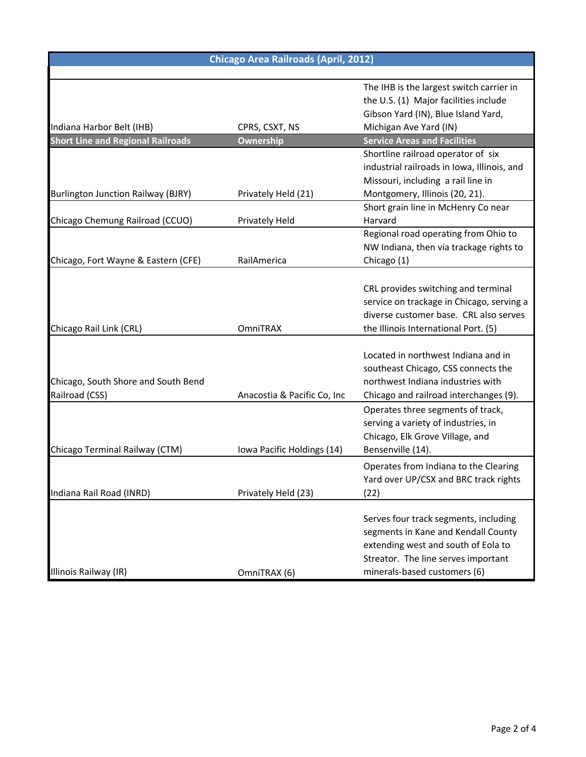| <b>Chicago Area Railroads (April, 2012)</b> |                             |                                             |  |  |
|---------------------------------------------|-----------------------------|---------------------------------------------|--|--|
|                                             |                             |                                             |  |  |
|                                             |                             | The IHB is the largest switch carrier in    |  |  |
|                                             |                             | the U.S. (1) Major facilities include       |  |  |
|                                             |                             | Gibson Yard (IN), Blue Island Yard,         |  |  |
| Indiana Harbor Belt (IHB)                   | CPRS, CSXT, NS              | Michigan Ave Yard (IN)                      |  |  |
| <b>Short Line and Regional Railroads</b>    | Ownership                   | <b>Service Areas and Facilities</b>         |  |  |
|                                             |                             | Shortline railroad operator of six          |  |  |
|                                             |                             | industrial railroads in Iowa, Illinois, and |  |  |
|                                             |                             | Missouri, including a rail line in          |  |  |
| <b>Burlington Junction Railway (BJRY)</b>   | Privately Held (21)         | Montgomery, Illinois (20, 21).              |  |  |
|                                             |                             | Short grain line in McHenry Conear          |  |  |
| Chicago Chemung Railroad (CCUO)             | Privately Held              | Harvard                                     |  |  |
|                                             |                             | Regional road operating from Ohio to        |  |  |
|                                             |                             | NW Indiana, then via trackage rights to     |  |  |
| Chicago, Fort Wayne & Eastern (CFE)         | RailAmerica                 | Chicago (1)                                 |  |  |
|                                             |                             |                                             |  |  |
|                                             |                             | CRL provides switching and terminal         |  |  |
|                                             |                             | service on trackage in Chicago, serving a   |  |  |
|                                             |                             | diverse customer base. CRL also serves      |  |  |
| Chicago Rail Link (CRL)                     | <b>OmniTRAX</b>             | the Illinois International Port. (5)        |  |  |
|                                             |                             |                                             |  |  |
|                                             |                             | Located in northwest Indiana and in         |  |  |
|                                             |                             | southeast Chicago, CSS connects the         |  |  |
| Chicago, South Shore and South Bend         |                             | northwest Indiana industries with           |  |  |
| Railroad (CSS)                              | Anacostia & Pacific Co, Inc | Chicago and railroad interchanges (9).      |  |  |
|                                             |                             | Operates three segments of track,           |  |  |
|                                             |                             | serving a variety of industries, in         |  |  |
|                                             |                             | Chicago, Elk Grove Village, and             |  |  |
| Chicago Terminal Railway (CTM)              | Iowa Pacific Holdings (14)  | Bensenville (14).                           |  |  |
|                                             |                             | Operates from Indiana to the Clearing       |  |  |
|                                             |                             | Yard over UP/CSX and BRC track rights       |  |  |
| Indiana Rail Road (INRD)                    | Privately Held (23)         | (22)                                        |  |  |
|                                             |                             |                                             |  |  |
|                                             |                             | Serves four track segments, including       |  |  |
|                                             |                             | segments in Kane and Kendall County         |  |  |
|                                             |                             | extending west and south of Eola to         |  |  |
|                                             |                             | Streator. The line serves important         |  |  |
| Illinois Railway (IR)                       | OmniTRAX (6)                | minerals-based customers (6)                |  |  |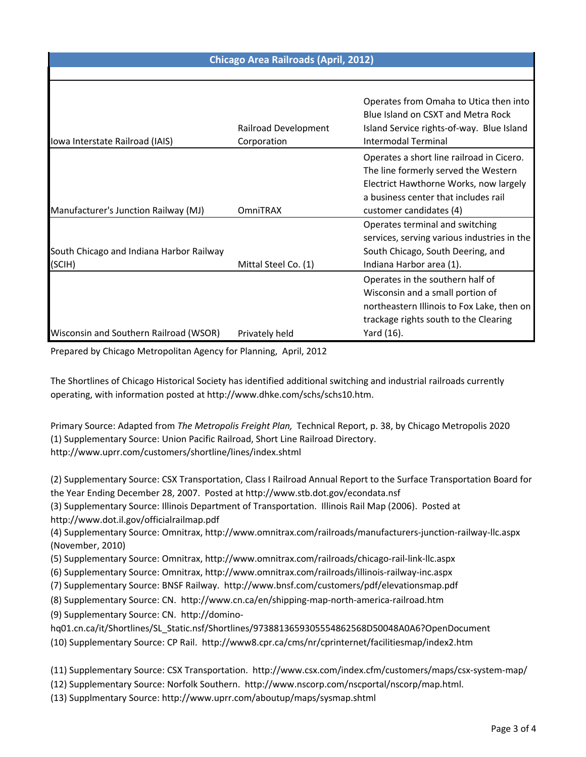| <b>Chicago Area Railroads (April, 2012)</b>        |                                     |                                                                                                                                                                                                |  |
|----------------------------------------------------|-------------------------------------|------------------------------------------------------------------------------------------------------------------------------------------------------------------------------------------------|--|
|                                                    |                                     |                                                                                                                                                                                                |  |
| Iowa Interstate Railroad (IAIS)                    | Railroad Development<br>Corporation | Operates from Omaha to Utica then into<br>Blue Island on CSXT and Metra Rock<br>Island Service rights-of-way. Blue Island<br>Intermodal Terminal                                               |  |
| Manufacturer's Junction Railway (MJ)               | <b>OmniTRAX</b>                     | Operates a short line railroad in Cicero.<br>The line formerly served the Western<br>Electrict Hawthorne Works, now largely<br>a business center that includes rail<br>customer candidates (4) |  |
| South Chicago and Indiana Harbor Railway<br>(SCIH) | Mittal Steel Co. (1)                | Operates terminal and switching<br>services, serving various industries in the<br>South Chicago, South Deering, and<br>Indiana Harbor area (1).                                                |  |
| Wisconsin and Southern Railroad (WSOR)             | Privately held                      | Operates in the southern half of<br>Wisconsin and a small portion of<br>northeastern Illinois to Fox Lake, then on<br>trackage rights south to the Clearing<br>Yard (16).                      |  |

Prepared by Chicago Metropolitan Agency for Planning, April, 2012

The Shortlines of Chicago Historical Society has identified additional switching and industrial railroads currently operating, with information posted at http://www.dhke.com/schs/schs10.htm.

Primary Source: Adapted from *The Metropolis Freight Plan,* Technical Report, p. 38, by Chicago Metropolis 2020 (1) Supplementary Source: Union Pacific Railroad, Short Line Railroad Directory. http://www.uprr.com/customers/shortline/lines/index.shtml

(2) Supplementary Source: CSX Transportation, Class I Railroad Annual Report to the Surface Transportation Board for the Year Ending December 28, 2007. Posted at http://www.stb.dot.gov/econdata.nsf

(3) Supplementary Source: Illinois Department of Transportation. Illinois Rail Map (2006). Posted at http://www.dot.il.gov/officialrailmap.pdf

(4) Supplementary Source: Omnitrax, http://www.omnitrax.com/railroads/manufacturers-junction-railway-llc.aspx (November, 2010)

- (5) Supplementary Source: Omnitrax, http://www.omnitrax.com/railroads/chicago-rail-link-llc.aspx
- (6) Supplementary Source: Omnitrax, http://www.omnitrax.com/railroads/illinois-railway-inc.aspx
- (7) Supplementary Source: BNSF Railway. http://www.bnsf.com/customers/pdf/elevationsmap.pdf
- (8) Supplementary Source: CN. http://www.cn.ca/en/shipping-map-north-america-railroad.htm
- (9) Supplementary Source: CN. http://domino-
- hq01.cn.ca/it/Shortlines/SL\_Static.nsf/Shortlines/9738813659305554862568D50048A0A6?OpenDocument
- (10) Supplementary Source: CP Rail. http://www8.cpr.ca/cms/nr/cprinternet/facilitiesmap/index2.htm
- (11) Supplementary Source: CSX Transportation. http://www.csx.com/index.cfm/customers/maps/csx-system-map/
- (12) Supplementary Source: Norfolk Southern. http://www.nscorp.com/nscportal/nscorp/map.html.
- (13) Supplmentary Source: http://www.uprr.com/aboutup/maps/sysmap.shtml